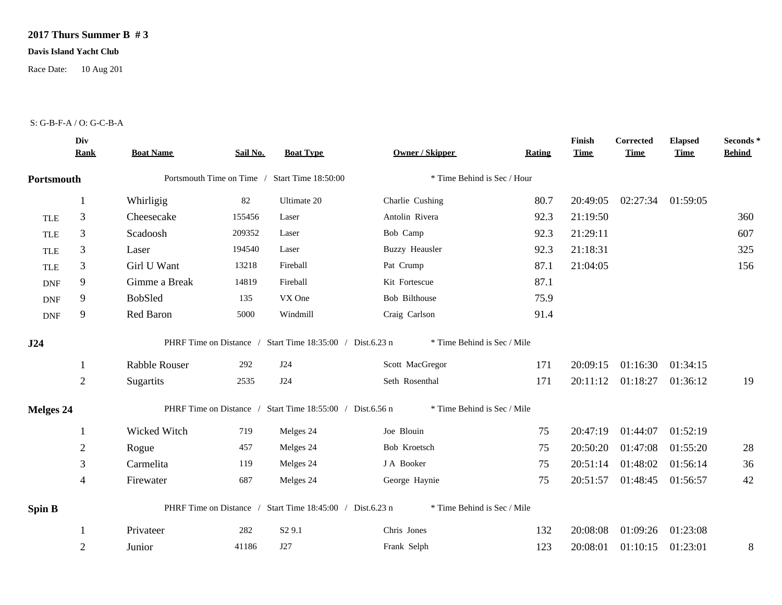## **2017 Thurs Summer B # 3**

## **Davis Island Yacht Club**

Race Date: 10 Aug 201

## S: G-B-F-A / O: G-C-B-A

|                  | Div<br><b>Rank</b> | <b>Boat Name</b>     | Sail No. | <b>Boat Type</b>                                          | <b>Owner / Skipper</b>      | Rating | Finish<br><b>Time</b> | Corrected<br><b>Time</b> | <b>Elapsed</b><br><b>Time</b> | Seconds *<br><b>Behind</b> |
|------------------|--------------------|----------------------|----------|-----------------------------------------------------------|-----------------------------|--------|-----------------------|--------------------------|-------------------------------|----------------------------|
| Portsmouth       |                    |                      |          | Portsmouth Time on Time / Start Time 18:50:00             | * Time Behind is Sec / Hour |        |                       |                          |                               |                            |
|                  | 1                  | Whirligig            | 82       | Ultimate 20                                               | Charlie Cushing             | 80.7   | 20:49:05              | 02:27:34 01:59:05        |                               |                            |
| <b>TLE</b>       | 3                  | Cheesecake           | 155456   | Laser                                                     | Antolin Rivera              | 92.3   | 21:19:50              |                          |                               | 360                        |
| <b>TLE</b>       | 3                  | Scadoosh             | 209352   | Laser                                                     | Bob Camp                    | 92.3   | 21:29:11              |                          |                               | 607                        |
| <b>TLE</b>       | $\mathfrak{Z}$     | Laser                | 194540   | Laser                                                     | <b>Buzzy Heausler</b>       | 92.3   | 21:18:31              |                          |                               | 325                        |
| <b>TLE</b>       | 3                  | Girl U Want          | 13218    | Fireball                                                  | Pat Crump                   | 87.1   | 21:04:05              |                          |                               | 156                        |
| <b>DNF</b>       | 9                  | Gimme a Break        | 14819    | Fireball                                                  | Kit Fortescue               | 87.1   |                       |                          |                               |                            |
| <b>DNF</b>       | 9                  | BobSled              | 135      | VX One                                                    | Bob Bilthouse               | 75.9   |                       |                          |                               |                            |
| <b>DNF</b>       | 9                  | Red Baron            | 5000     | Windmill                                                  | Craig Carlson               | 91.4   |                       |                          |                               |                            |
| J24              |                    |                      |          | PHRF Time on Distance / Start Time 18:35:00 / Dist.6.23 n | * Time Behind is Sec / Mile |        |                       |                          |                               |                            |
|                  | -1                 | <b>Rabble Rouser</b> | 292      | J24                                                       | Scott MacGregor             | 171    | 20:09:15              | 01:16:30                 | 01:34:15                      |                            |
|                  | $\overline{2}$     | Sugartits            | 2535     | J24                                                       | Seth Rosenthal              | 171    | 20:11:12              | 01:18:27                 | 01:36:12                      | 19                         |
| <b>Melges 24</b> |                    |                      |          | PHRF Time on Distance / Start Time 18:55:00 / Dist.6.56 n | * Time Behind is Sec / Mile |        |                       |                          |                               |                            |
|                  | $\mathbf{1}$       | Wicked Witch         | 719      | Melges 24                                                 | Joe Blouin                  | 75     | 20:47:19              | 01:44:07                 | 01:52:19                      |                            |
|                  | $\overline{2}$     | Rogue                | 457      | Melges 24                                                 | Bob Kroetsch                | 75     | 20:50:20              | 01:47:08                 | 01:55:20                      | 28                         |
|                  | 3                  | Carmelita            | 119      | Melges 24                                                 | J A Booker                  | 75     | 20:51:14              | 01:48:02                 | 01:56:14                      | 36                         |
|                  | $\overline{4}$     | Firewater            | 687      | Melges 24                                                 | George Haynie               | 75     | 20:51:57              | 01:48:45                 | 01:56:57                      | 42                         |
| <b>Spin B</b>    |                    |                      |          | PHRF Time on Distance / Start Time 18:45:00 / Dist.6.23 n | * Time Behind is Sec / Mile |        |                       |                          |                               |                            |
|                  |                    | Privateer            | 282      | S <sub>2</sub> 9.1                                        | Chris Jones                 | 132    | 20:08:08              | 01:09:26                 | 01:23:08                      |                            |
|                  | $\overline{2}$     | Junior               | 41186    | J27                                                       | Frank Selph                 | 123    | 20:08:01              | 01:10:15                 | 01:23:01                      | $8\,$                      |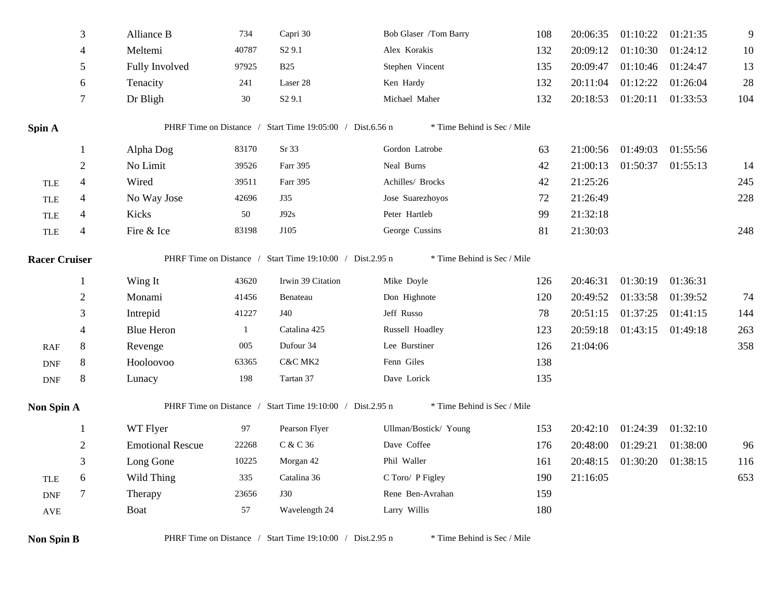|                      | 3              | Alliance B              | 734   | Capri 30                                                  | Bob Glaser /Tom Barry       | 108 | 20:06:35 | 01:10:22          | 01:21:35 | 9   |
|----------------------|----------------|-------------------------|-------|-----------------------------------------------------------|-----------------------------|-----|----------|-------------------|----------|-----|
|                      | $\overline{4}$ | Meltemi                 | 40787 | S <sub>2</sub> 9.1                                        | Alex Korakis                | 132 | 20:09:12 | 01:10:30          | 01:24:12 | 10  |
|                      | 5              | Fully Involved          | 97925 | <b>B25</b>                                                | Stephen Vincent             | 135 | 20:09:47 | 01:10:46          | 01:24:47 | 13  |
|                      | 6              | Tenacity                | 241   | Laser 28                                                  | Ken Hardy                   | 132 | 20:11:04 | 01:12:22          | 01:26:04 | 28  |
|                      | $\tau$         | Dr Bligh                | 30    | S <sub>2</sub> 9.1                                        | Michael Maher               | 132 | 20:18:53 | 01:20:11          | 01:33:53 | 104 |
| Spin A               |                |                         |       | PHRF Time on Distance / Start Time 19:05:00 / Dist.6.56 n | * Time Behind is Sec / Mile |     |          |                   |          |     |
|                      |                | Alpha Dog               | 83170 | Sr 33                                                     | Gordon Latrobe              | 63  | 21:00:56 | 01:49:03          | 01:55:56 |     |
|                      | 2              | No Limit                | 39526 | Farr 395                                                  | Neal Burns                  | 42  | 21:00:13 | 01:50:37          | 01:55:13 | 14  |
| <b>TLE</b>           | $\overline{4}$ | Wired                   | 39511 | Farr 395                                                  | Achilles/ Brocks            | 42  | 21:25:26 |                   |          | 245 |
| <b>TLE</b>           | $\overline{4}$ | No Way Jose             | 42696 | J35                                                       | Jose Suarezhoyos            | 72  | 21:26:49 |                   |          | 228 |
| <b>TLE</b>           | $\overline{4}$ | Kicks                   | 50    | J92s                                                      | Peter Hartleb               | 99  | 21:32:18 |                   |          |     |
| <b>TLE</b>           | $\overline{4}$ | Fire & Ice              | 83198 | J105                                                      | George Cussins              | 81  | 21:30:03 |                   |          | 248 |
| <b>Racer Cruiser</b> |                |                         |       | PHRF Time on Distance / Start Time 19:10:00 / Dist.2.95 n | * Time Behind is Sec / Mile |     |          |                   |          |     |
|                      |                | Wing It                 | 43620 | Irwin 39 Citation                                         | Mike Doyle                  | 126 | 20:46:31 | 01:30:19          | 01:36:31 |     |
|                      | $\overline{2}$ | Monami                  | 41456 | Benateau                                                  | Don Highnote                | 120 | 20:49:52 | 01:33:58          | 01:39:52 | 74  |
|                      | 3              | Intrepid                | 41227 | J40                                                       | Jeff Russo                  | 78  | 20:51:15 | 01:37:25          | 01:41:15 | 144 |
|                      | $\overline{4}$ | <b>Blue Heron</b>       | 1     | Catalina 425                                              | Russell Hoadley             | 123 | 20:59:18 | 01:43:15          | 01:49:18 | 263 |
| <b>RAF</b>           | $8\phantom{1}$ | Revenge                 | 005   | Dufour 34                                                 | Lee Burstiner               | 126 | 21:04:06 |                   |          | 358 |
| <b>DNF</b>           | $8\,$          | Hooloovoo               | 63365 | C&C MK2                                                   | Fenn Giles                  | 138 |          |                   |          |     |
| <b>DNF</b>           | 8              | Lunacy                  | 198   | Tartan 37                                                 | Dave Lorick                 | 135 |          |                   |          |     |
| Non Spin A           |                |                         |       | PHRF Time on Distance / Start Time 19:10:00 / Dist.2.95 n | * Time Behind is Sec / Mile |     |          |                   |          |     |
|                      | 1              | WT Flyer                | 97    | Pearson Flyer                                             | Ullman/Bostick/ Young       | 153 | 20:42:10 | 01:24:39          | 01:32:10 |     |
|                      | $\overline{2}$ | <b>Emotional Rescue</b> | 22268 | C & C 36                                                  | Dave Coffee                 | 176 | 20:48:00 | 01:29:21          | 01:38:00 | 96  |
|                      | 3              | Long Gone               | 10225 | Morgan 42                                                 | Phil Waller                 | 161 | 20:48:15 | 01:30:20 01:38:15 |          | 116 |
| <b>TLE</b>           | 6              | Wild Thing              | 335   | Catalina 36                                               | C Toro/ P Figley            | 190 | 21:16:05 |                   |          | 653 |
| <b>DNF</b>           | $\tau$         | Therapy                 | 23656 | <b>J30</b>                                                | Rene Ben-Avrahan            | 159 |          |                   |          |     |
| $\operatorname{AVE}$ |                | Boat                    | 57    | Wavelength 24                                             | Larry Willis                | 180 |          |                   |          |     |
| <b>Non Spin B</b>    |                |                         |       | PHRF Time on Distance / Start Time 19:10:00 / Dist.2.95 n | * Time Behind is Sec / Mile |     |          |                   |          |     |